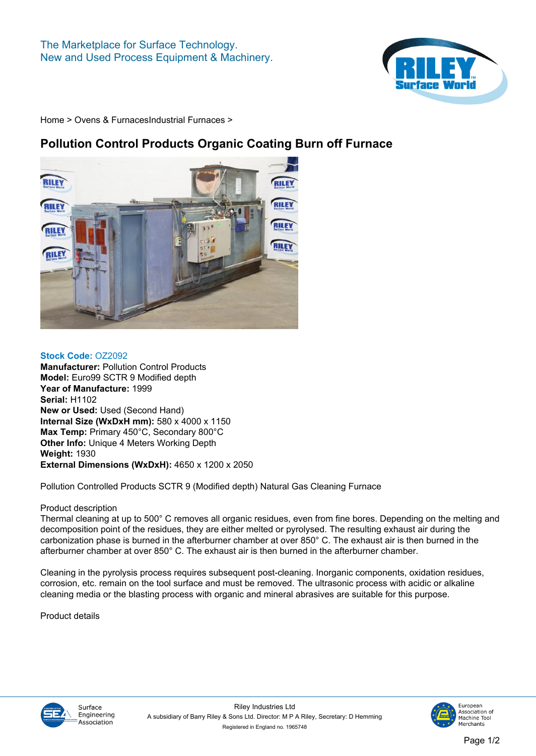

**[Home](https://www.rileysurfaceworld.co.uk) > [Ovens & Furnaces](https://www.rileysurfaceworld.co.uk/ovens.asp)[Industrial Furnaces](https://www.rileysurfaceworld.co.uk/furnaces-industrial.asp) >**

## **Pollution Control Products Organic Coating Burn off Furnace**



**Stock Code: OZ2092 Manufacturer: Pollution Control Products Model: Euro99 SCTR 9 Modified depth Year of Manufacture: 1999 Serial: H1102 New or Used: Used (Second Hand) Internal Size (WxDxH mm): 580 x 4000 x 1150 Max Temp: Primary 450°C, Secondary 800°C Other Info: Unique 4 Meters Working Depth Weight: 1930 External Dimensions (WxDxH): 4650 x 1200 x 2050**

**Pollution Controlled Products SCTR 9 (Modified depth) Natural Gas Cleaning Furnace**

## **Product description**

**Thermal cleaning at up to 500° C removes all organic residues, even from fine bores. Depending on the melting and decomposition point of the residues, they are either melted or pyrolysed. The resulting exhaust air during the carbonization phase is burned in the afterburner chamber at over 850° C. The exhaust air is then burned in the afterburner chamber at over 850° C. The exhaust air is then burned in the afterburner chamber.**

**Cleaning in the pyrolysis process requires subsequent post-cleaning. Inorganic components, oxidation residues, corrosion, etc. remain on the tool surface and must be removed. The ultrasonic process with acidic or alkaline cleaning media or the blasting process with organic and mineral abrasives are suitable for this purpose.**

**Product details**